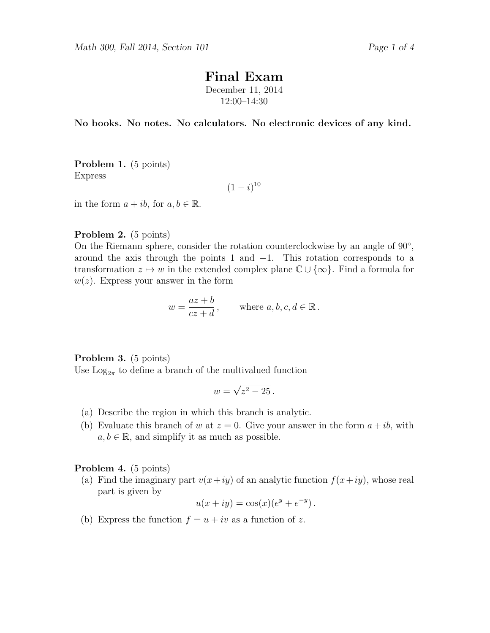# Final Exam

December 11, 2014 12:00–14:30

No books. No notes. No calculators. No electronic devices of any kind.

Problem 1. (5 points) Express

 $(1-i)^{10}$ 

in the form  $a + ib$ , for  $a, b \in \mathbb{R}$ .

Problem 2. (5 points)

On the Riemann sphere, consider the rotation counterclockwise by an angle of  $90^{\circ}$ , around the axis through the points 1 and  $-1$ . This rotation corresponds to a transformation  $z \mapsto w$  in the extended complex plane  $\mathbb{C} \cup \{\infty\}$ . Find a formula for  $w(z)$ . Express your answer in the form

$$
w = \frac{az+b}{cz+d}
$$
, where  $a, b, c, d \in \mathbb{R}$ .

Problem 3. (5 points)

Use  $\text{Log}_{2\pi}$  to define a branch of the multivalued function

$$
w=\sqrt{z^2-25}
$$

- (a) Describe the region in which this branch is analytic.
- (b) Evaluate this branch of w at  $z = 0$ . Give your answer in the form  $a + ib$ , with  $a, b \in \mathbb{R}$ , and simplify it as much as possible.

### Problem 4. (5 points)

(a) Find the imaginary part  $v(x+iy)$  of an analytic function  $f(x+iy)$ , whose real part is given by

$$
u(x + iy) = cos(x)(e^y + e^{-y}).
$$

(b) Express the function  $f = u + iv$  as a function of z.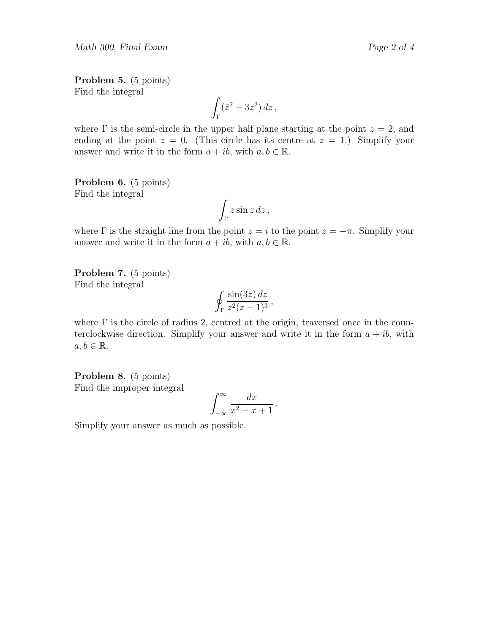Math 300, Final Exam Page 2 of 4

$$
\int_{\Gamma} (\bar{z}^2 + 3z^2) \, dz \,,
$$

where  $\Gamma$  is the semi-circle in the upper half plane starting at the point  $z = 2$ , and ending at the point  $z = 0$ . (This circle has its centre at  $z = 1$ .) Simplify your answer and write it in the form  $a + ib$ , with  $a, b \in \mathbb{R}$ .

Problem 6. (5 points) Find the integral

$$
\int_{\Gamma} z \sin z \, dz \,,
$$

where  $\Gamma$  is the straight line from the point  $z = i$  to the point  $z = -\pi$ . Simplify your answer and write it in the form  $a + ib$ , with  $a, b \in \mathbb{R}$ .

Problem 7. (5 points) Find the integral

$$
\oint_{\Gamma} \frac{\sin(3z) dz}{z^2 (z-1)^3},
$$

where  $\Gamma$  is the circle of radius 2, centred at the origin, traversed once in the counterclockwise direction. Simplify your answer and write it in the form  $a + ib$ , with  $a, b \in \mathbb{R}$ .

Problem 8. (5 points) Find the improper integral

$$
\int_{-\infty}^{\infty} \frac{dx}{x^2 - x + 1} \, .
$$

Simplify your answer as much as possible.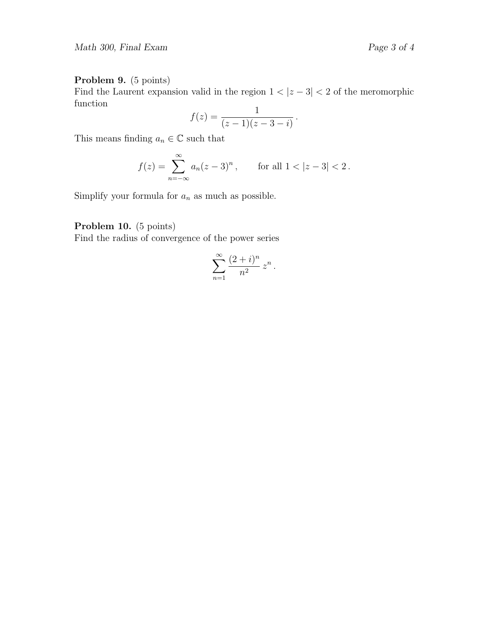## Problem 9. (5 points)

Find the Laurent expansion valid in the region  $1 < |z - 3| < 2$  of the meromorphic function

$$
f(z) = \frac{1}{(z-1)(z-3-i)}.
$$

This means finding  $a_n\in\mathbb{C}$  such that

$$
f(z) = \sum_{n = -\infty}^{\infty} a_n (z - 3)^n, \quad \text{for all } 1 < |z - 3| < 2.
$$

Simplify your formula for  $\mathfrak{a}_n$  as much as possible.

## Problem 10. (5 points)

Find the radius of convergence of the power series

$$
\sum_{n=1}^{\infty} \frac{(2+i)^n}{n^2} z^n.
$$